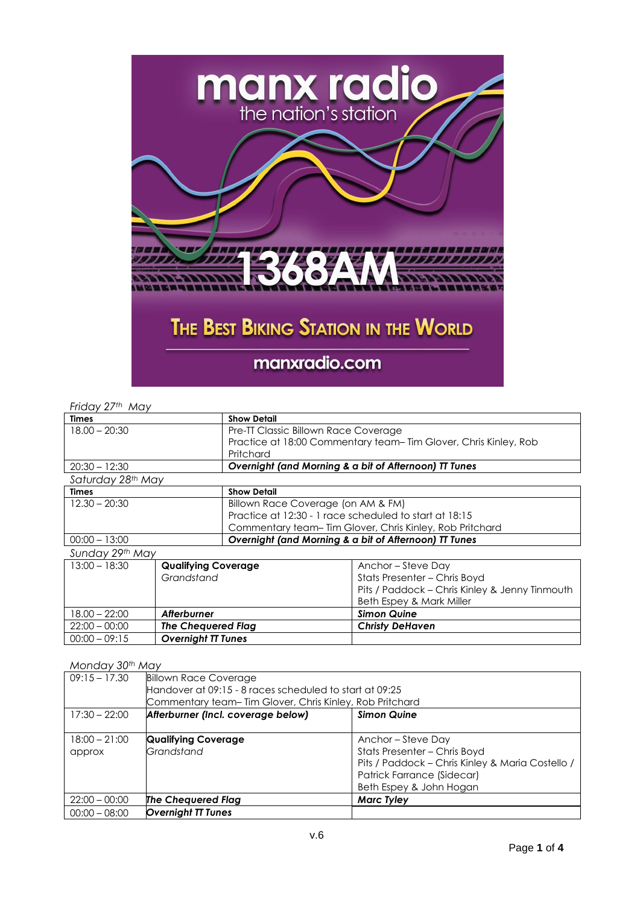

### *Friday 27th May*

| Times             | <b>Show Detail</b>  |                                                                  |  |
|-------------------|---------------------|------------------------------------------------------------------|--|
| $18.00 - 20:30$   |                     | Pre-TT Classic Billown Race Coverage                             |  |
|                   |                     | Practice at 18:00 Commentary team- Tim Glover, Chris Kinley, Rob |  |
|                   | Pritchard           |                                                                  |  |
| $20:30 - 12:30$   |                     | Overnight (and Morning & a bit of Afternoon) TT Tunes            |  |
| Saturday 28th May |                     |                                                                  |  |
| <b>Times</b>      | <b>Show Detail</b>  |                                                                  |  |
| $12.30 - 20:30$   |                     | Billown Race Coverage (on AM & FM)                               |  |
|                   |                     | Practice at 12:30 - 1 race scheduled to start at 18:15           |  |
|                   |                     | Commentary team-Tim Glover, Chris Kinley, Rob Pritchard          |  |
| $00:00 - 13:00$   |                     | Overnight (and Morning & a bit of Afternoon) TT Tunes            |  |
| Sunday 29th May   |                     |                                                                  |  |
| $13:00 - 18:30$   | Qualifying Coverage | Anchor – Steve Dav                                               |  |

| $13:00 - 18:30$ | <b>Qualifying Coverage</b> | Anchor – Steve Day                             |
|-----------------|----------------------------|------------------------------------------------|
|                 | Grandstand                 | Stats Presenter - Chris Boyd                   |
|                 |                            | Pits / Paddock - Chris Kinley & Jenny Tinmouth |
|                 |                            | Beth Espey & Mark Miller                       |
| $18.00 - 22:00$ | Afterburner                | <b>Simon Quine</b>                             |
| $22:00 - 00:00$ | The Chequered Flag         | <b>Christy DeHaven</b>                         |
| $00:00 - 09:15$ | <b>Overnight TT Tunes</b>  |                                                |

#### *Monday 30th May*

| $09:15 - 17.30$ | <b>Billown Race Coverage</b>                            |                                                         |  |
|-----------------|---------------------------------------------------------|---------------------------------------------------------|--|
|                 | Handover at 09:15 - 8 races scheduled to start at 09:25 |                                                         |  |
|                 |                                                         | Commentary team-Tim Glover, Chris Kinley, Rob Pritchard |  |
| $17:30 - 22:00$ | Afterburner (Incl. coverage below)                      | <b>Simon Quine</b>                                      |  |
|                 |                                                         |                                                         |  |
| $18:00 - 21:00$ | <b>Qualifying Coverage</b>                              | Anchor – Steve Day                                      |  |
| approx          | Grandstand                                              | Stats Presenter - Chris Boyd                            |  |
|                 |                                                         | Pits / Paddock - Chris Kinley & Maria Costello /        |  |
|                 |                                                         | Patrick Farrance (Sidecar)                              |  |
|                 |                                                         | Beth Espey & John Hogan                                 |  |
| $22:00 - 00:00$ | <b>The Chequered Flag</b>                               | <b>Marc Tyley</b>                                       |  |
| $00:00 - 08:00$ | <b>Overnight TT Tunes</b>                               |                                                         |  |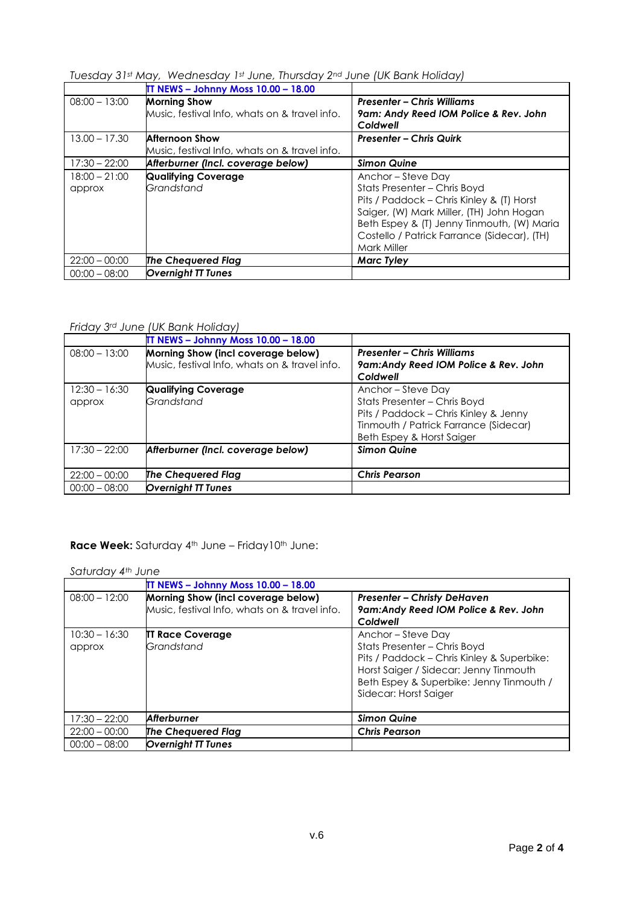# *Tuesday 31st May, Wednesday 1st June, Thursday 2nd June (UK Bank Holiday)*

|                           | <b>IT NEWS - Johnny Moss 10.00 - 18.00</b>                             |                                                                                                                                                                                                                                                         |
|---------------------------|------------------------------------------------------------------------|---------------------------------------------------------------------------------------------------------------------------------------------------------------------------------------------------------------------------------------------------------|
| $08:00 - 13:00$           | <b>Morning Show</b><br>Music, festival Info, whats on & travel info.   | <b>Presenter – Chris Williams</b><br>9am: Andy Reed IOM Police & Rev. John<br>Coldwell                                                                                                                                                                  |
| $13.00 - 17.30$           | <b>Afternoon Show</b><br>Music, festival Info, whats on & travel info. | <b>Presenter - Chris Quirk</b>                                                                                                                                                                                                                          |
| $17:30 - 22:00$           | Afterburner (Incl. coverage below)                                     | <b>Simon Quine</b>                                                                                                                                                                                                                                      |
| $18:00 - 21:00$<br>approx | <b>Qualifying Coverage</b><br>Grandstand                               | Anchor – Steve Day<br>Stats Presenter - Chris Boyd<br>Pits / Paddock - Chris Kinley & (T) Horst<br>Saiger, (W) Mark Miller, (TH) John Hogan<br>Beth Espey & (T) Jenny Tinmouth, (W) Maria<br>Costello / Patrick Farrance (Sidecar), (TH)<br>Mark Miller |
| $22:00 - 00:00$           | The Chequered Flag                                                     | <b>Marc Tyley</b>                                                                                                                                                                                                                                       |
| $00:00 - 08:00$           | <b>Overnight TT Tunes</b>                                              |                                                                                                                                                                                                                                                         |

### *Friday 3rd June (UK Bank Holiday)*

|                           | <b>IT NEWS - Johnny Moss 10.00 - 18.00</b>                                          |                                                                                                                                                                 |
|---------------------------|-------------------------------------------------------------------------------------|-----------------------------------------------------------------------------------------------------------------------------------------------------------------|
| $08:00 - 13:00$           | Morning Show (incl coverage below)<br>Music, festival Info, whats on & travel info. | <b>Presenter - Chris Williams</b><br>9am:Andy Reed IOM Police & Rev. John<br>Coldwell                                                                           |
| $12:30 - 16:30$<br>approx | <b>Qualifying Coverage</b><br>Grandstand                                            | Anchor-Steve Day<br>Stats Presenter - Chris Boyd<br>Pits / Paddock - Chris Kinley & Jenny<br>Tinmouth / Patrick Farrance (Sidecar)<br>Beth Espey & Horst Saiger |
| $17:30 - 22:00$           | Afterburner (Incl. coverage below)                                                  | <b>Simon Quine</b>                                                                                                                                              |
| $22:00 - 00:00$           | <b>The Chequered Flag</b>                                                           | <b>Chris Pearson</b>                                                                                                                                            |
| $00:00 - 08:00$           | <b>Overnight TT Tunes</b>                                                           |                                                                                                                                                                 |

## **Race Week:** Saturday 4<sup>th</sup> June – Friday10<sup>th</sup> June:

### *Saturday 4th June*

|                           | <b>IT NEWS - Johnny Moss 10.00 - 18.00</b>                                          |                                                                                                                                                                                                                 |
|---------------------------|-------------------------------------------------------------------------------------|-----------------------------------------------------------------------------------------------------------------------------------------------------------------------------------------------------------------|
| $08:00 - 12:00$           | Morning Show (incl coverage below)<br>Music, festival Info, whats on & travel info. | <b>Presenter - Christy DeHaven</b><br>9am:Andy Reed IOM Police & Rev. John<br>Coldwell                                                                                                                          |
| $10:30 - 16:30$<br>approx | <b>IT Race Coverage</b><br>Grandstand                                               | Anchor – Steve Day<br>Stats Presenter - Chris Boyd<br>Pits / Paddock - Chris Kinley & Superbike:<br>Horst Saiger / Sidecar: Jenny Tinmouth<br>Beth Espey & Superbike: Jenny Tinmouth /<br>Sidecar: Horst Saiger |
| $17:30 - 22:00$           | <b>Afterburner</b>                                                                  | <b>Simon Quine</b>                                                                                                                                                                                              |
| $22:00 - 00:00$           | <b>The Chequered Flag</b>                                                           | <b>Chris Pearson</b>                                                                                                                                                                                            |
| $00:00 - 08:00$           | <b>Overnight TT Tunes</b>                                                           |                                                                                                                                                                                                                 |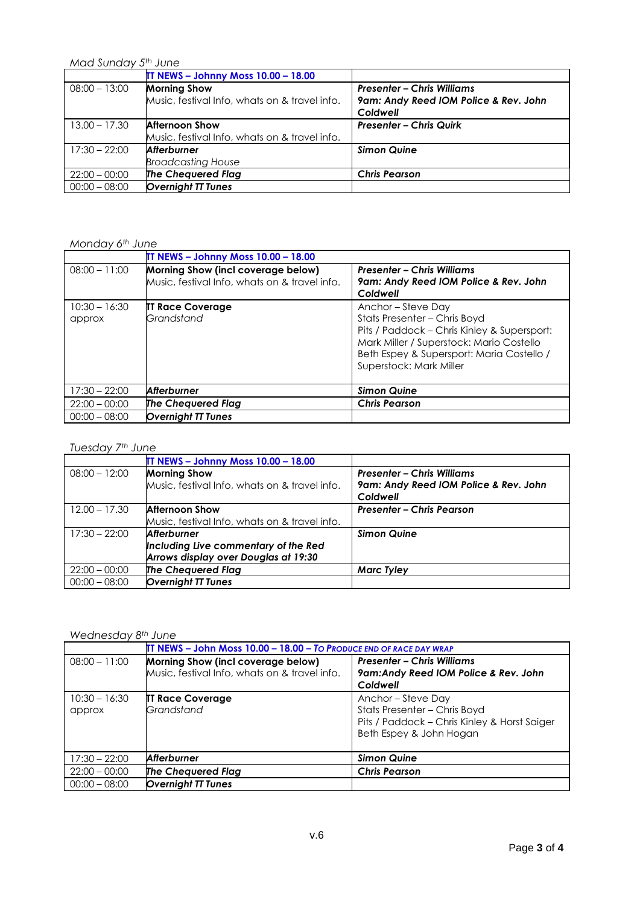*Mad Sunday 5th June*

|                 | <b>IT NEWS - Johnny Moss 10.00 - 18.00</b>    |                                                   |
|-----------------|-----------------------------------------------|---------------------------------------------------|
| $08:00 - 13:00$ | <b>Morning Show</b>                           | <b>Presenter - Chris Williams</b>                 |
|                 | Music, festival Info, whats on & travel info. | 9am: Andy Reed IOM Police & Rev. John<br>Coldwell |
| $13.00 - 17.30$ | <b>Afternoon Show</b>                         | <b>Presenter - Chris Quirk</b>                    |
|                 | Music, festival Info, whats on & travel info. |                                                   |
| $17:30 - 22:00$ | <b>Afterburner</b>                            | <b>Simon Quine</b>                                |
|                 | <b>Broadcasting House</b>                     |                                                   |
| $22:00 - 00:00$ | The Chequered Flag                            | <b>Chris Pearson</b>                              |
| $00:00 - 08:00$ | <b>Overnight TT Tunes</b>                     |                                                   |

#### *Monday 6th June*

|                           | <b>IT NEWS - Johnny Moss 10.00 - 18.00</b>                                          |                                                                                                                                                                                                                       |
|---------------------------|-------------------------------------------------------------------------------------|-----------------------------------------------------------------------------------------------------------------------------------------------------------------------------------------------------------------------|
| $08:00 - 11:00$           | Morning Show (incl coverage below)<br>Music, festival Info, whats on & travel info. | <b>Presenter - Chris Williams</b><br>9am: Andy Reed IOM Police & Rev. John<br>Coldwell                                                                                                                                |
| $10:30 - 16:30$<br>approx | <b>IT Race Coverage</b><br>Grandstand                                               | Anchor – Steve Day<br>Stats Presenter - Chris Boyd<br>Pits / Paddock - Chris Kinley & Supersport:<br>Mark Miller / Superstock: Mario Costello<br>Beth Espey & Supersport: Maria Costello /<br>Superstock: Mark Miller |
| $17:30 - 22:00$           | Afterburner                                                                         | <b>Simon Quine</b>                                                                                                                                                                                                    |
| $22:00 - 00:00$           | <b>The Chequered Flag</b>                                                           | <b>Chris Pearson</b>                                                                                                                                                                                                  |
| $00:00 - 08:00$           | <b>Overnight TT Tunes</b>                                                           |                                                                                                                                                                                                                       |

#### *Tuesday 7th June*

|                 | <b>IT NEWS - Johnny Moss 10.00 - 18.00</b>    |                                                   |
|-----------------|-----------------------------------------------|---------------------------------------------------|
| $08:00 - 12:00$ | <b>Morning Show</b>                           | <b>Presenter - Chris Williams</b>                 |
|                 | Music, festival Info, whats on & travel info. | 9am: Andy Reed IOM Police & Rev. John<br>Coldwell |
| $12.00 - 17.30$ | <b>Afternoon Show</b>                         | <b>Presenter – Chris Pearson</b>                  |
|                 | Music, festival Info, whats on & travel info. |                                                   |
| $17:30 - 22:00$ | <b>Afterburner</b>                            | <b>Simon Quine</b>                                |
|                 | Including Live commentary of the Red          |                                                   |
|                 | Arrows display over Douglas at 19:30          |                                                   |
| $22:00 - 00:00$ | The Chequered Flag                            | <b>Marc Tyley</b>                                 |
| $00:00 - 08:00$ | <b>Overnight TT Tunes</b>                     |                                                   |

#### *Wednesday 8th June*

|                           | IT NEWS - John Moss 10.00 - 18.00 - To Produce END OF RACE DAY WRAP                 |                                                                                                                             |
|---------------------------|-------------------------------------------------------------------------------------|-----------------------------------------------------------------------------------------------------------------------------|
| $08:00 - 11:00$           | Morning Show (incl coverage below)<br>Music, festival Info, whats on & travel info. | <b>Presenter – Chris Williams</b><br>9am: Andy Reed IOM Police & Rev. John<br>Coldwell                                      |
| $10:30 - 16:30$<br>approx | <b>IT Race Coverage</b><br>Grandstand                                               | Anchor-Steve Day<br>Stats Presenter - Chris Boyd<br>Pits / Paddock - Chris Kinley & Horst Saiger<br>Beth Espey & John Hogan |
| $17:30 - 22:00$           | <b>Afterburner</b>                                                                  | <b>Simon Quine</b>                                                                                                          |
| $22:00 - 00:00$           | The Chequered Flag                                                                  | <b>Chris Pearson</b>                                                                                                        |
| $00:00 - 08:00$           | <b>Overnight TT Tunes</b>                                                           |                                                                                                                             |